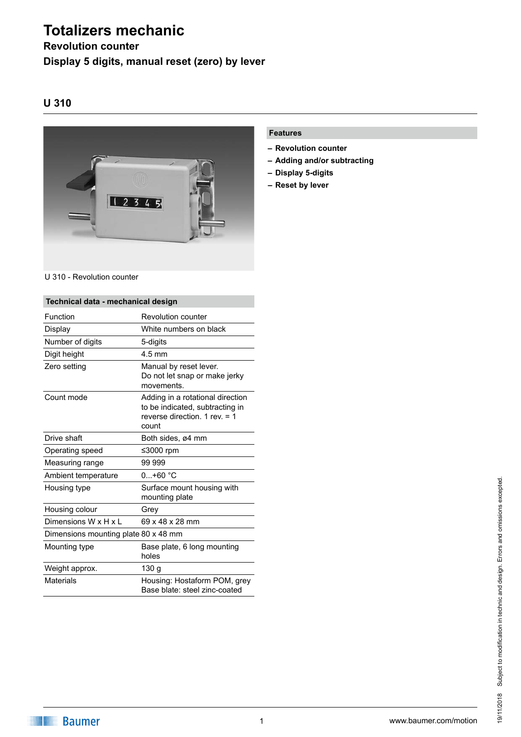# **Totalizers mechanic**

### **Revolution counter Display 5 digits, manual reset (zero) by lever**

### **U 310**



#### U 310 - Revolution counter

#### **Technical data - mechanical design** Function Revolution counter Display White numbers on black Number of digits 5-digits Digit height 4.5 mm Zero setting **Manual by reset lever.** Do not let snap or make jerky movements. **Count mode** Adding in a rotational direction to be indicated, subtracting in reverse direction. 1 rev. = 1 count Drive shaft Both sides, ø4 mm Operating speed ≤3000 rpm Measuring range 9999999 Ambient temperature 0...+60 °C Housing type **Surface mount housing with** mounting plate Housing colour Grey Dimensions W x H x L 69 x 48 x 28 mm Dimensions mounting plate 80 x 48 mm Mounting type **Base plate, 6 long mounting** holes Weight approx. 130 g Materials **Housing: Hostaform POM, grey** Base blate: steel zinc-coated

#### **Features**

- **– Revolution counter**
- **– Adding and/or subtracting**
- **– Display 5-digits**
- **– Reset by lever**